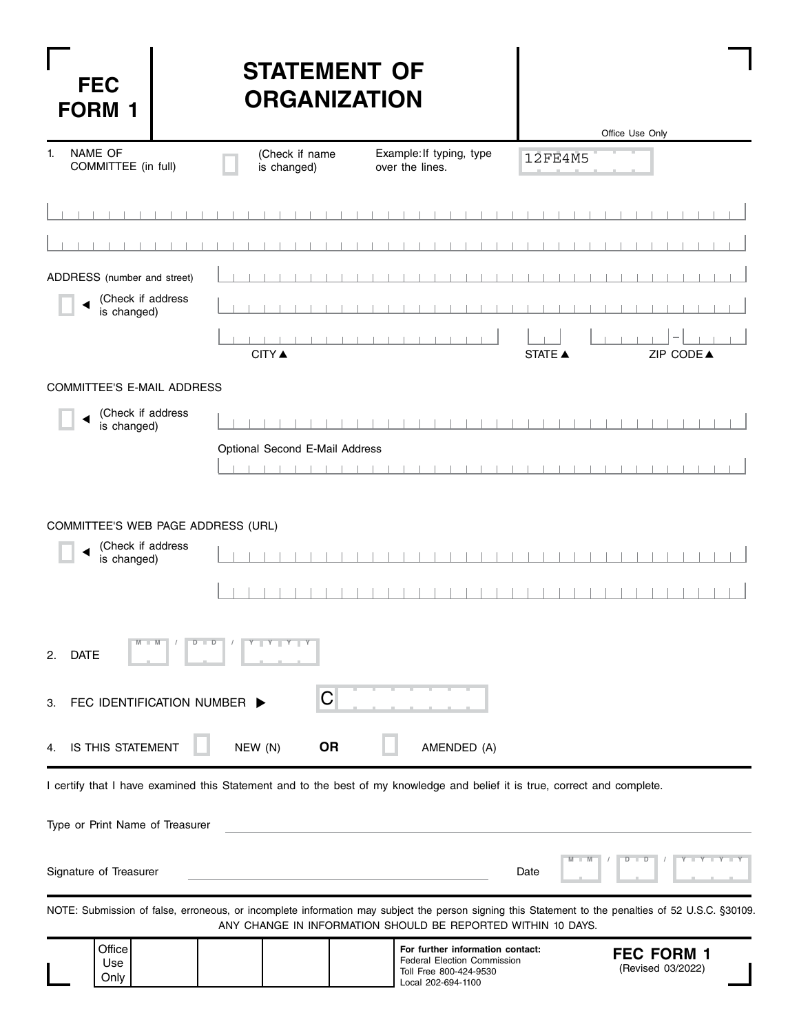| <b>FEC</b><br><b>FORM</b>                                              | <b>STATEMENT OF</b><br><b>ORGANIZATION</b>                                                                                                                                                                          | Office Use Only                        |
|------------------------------------------------------------------------|---------------------------------------------------------------------------------------------------------------------------------------------------------------------------------------------------------------------|----------------------------------------|
| <b>NAME OF</b><br>1 <sup>1</sup><br>COMMITTEE (in full)                | (Check if name<br>Example: If typing, type<br>is changed)<br>over the lines.                                                                                                                                        | 12FE4M5                                |
|                                                                        |                                                                                                                                                                                                                     |                                        |
| ADDRESS (number and street)                                            |                                                                                                                                                                                                                     |                                        |
| (Check if address<br>is changed)                                       |                                                                                                                                                                                                                     |                                        |
|                                                                        | <b>CITY</b> ▲                                                                                                                                                                                                       | ZIP CODE▲<br><b>STATE ▲</b>            |
| COMMITTEE'S E-MAIL ADDRESS                                             |                                                                                                                                                                                                                     |                                        |
| (Check if address<br>is changed)                                       |                                                                                                                                                                                                                     |                                        |
|                                                                        | Optional Second E-Mail Address                                                                                                                                                                                      |                                        |
| COMMITTEE'S WEB PAGE ADDRESS (URL)<br>(Check if address<br>is changed) |                                                                                                                                                                                                                     |                                        |
| <b>DATE</b><br>2.                                                      | $Y - Y - Y - Y$<br>D<br>$\blacksquare$<br>C                                                                                                                                                                         |                                        |
| FEC IDENTIFICATION NUMBER<br>З.                                        |                                                                                                                                                                                                                     |                                        |
| IS THIS STATEMENT<br>4.                                                | NEW (N)<br><b>OR</b><br>AMENDED (A)                                                                                                                                                                                 |                                        |
|                                                                        | I certify that I have examined this Statement and to the best of my knowledge and belief it is true, correct and complete.                                                                                          |                                        |
| Type or Print Name of Treasurer                                        |                                                                                                                                                                                                                     |                                        |
| Signature of Treasurer                                                 |                                                                                                                                                                                                                     | D<br>$\blacksquare$<br>Date            |
|                                                                        | NOTE: Submission of false, erroneous, or incomplete information may subject the person signing this Statement to the penalties of 52 U.S.C. §30109.<br>ANY CHANGE IN INFORMATION SHOULD BE REPORTED WITHIN 10 DAYS. |                                        |
| Office<br>Use<br>Only                                                  | For further information contact:<br><b>Federal Election Commission</b><br>Toll Free 800-424-9530<br>Local 202-694-1100                                                                                              | <b>FEC FORM 1</b><br>(Revised 03/2022) |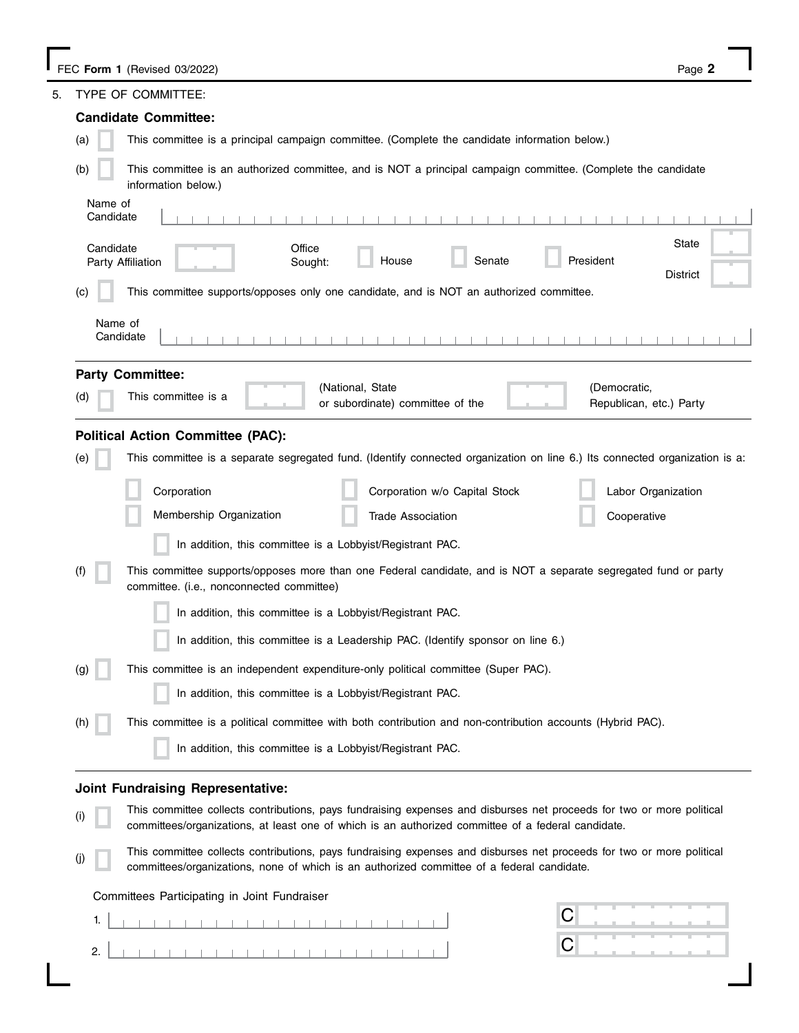| 5.  | TYPE OF COMMITTEE:                                                                                                                                                                                                          |
|-----|-----------------------------------------------------------------------------------------------------------------------------------------------------------------------------------------------------------------------------|
|     | <b>Candidate Committee:</b>                                                                                                                                                                                                 |
| (a) | This committee is a principal campaign committee. (Complete the candidate information below.)                                                                                                                               |
| (b) | This committee is an authorized committee, and is NOT a principal campaign committee. (Complete the candidate<br>information below.)                                                                                        |
|     | Name of<br>Candidate                                                                                                                                                                                                        |
|     | <b>State</b><br>Candidate<br>Office<br>President<br>House<br>Senate<br>Party Affiliation<br>Sought:<br><b>District</b>                                                                                                      |
| (c) | This committee supports/opposes only one candidate, and is NOT an authorized committee.                                                                                                                                     |
|     | Name of<br>Candidate                                                                                                                                                                                                        |
|     | <b>Party Committee:</b>                                                                                                                                                                                                     |
| (d) | (National, State<br>(Democratic,<br>This committee is a<br>or subordinate) committee of the<br>Republican, etc.) Party                                                                                                      |
|     | <b>Political Action Committee (PAC):</b>                                                                                                                                                                                    |
| (e) | This committee is a separate segregated fund. (Identify connected organization on line 6.) Its connected organization is a:                                                                                                 |
|     | Corporation w/o Capital Stock<br>Corporation<br>Labor Organization                                                                                                                                                          |
|     | Membership Organization<br><b>Trade Association</b><br>Cooperative                                                                                                                                                          |
|     | In addition, this committee is a Lobbyist/Registrant PAC.                                                                                                                                                                   |
| (f) | This committee supports/opposes more than one Federal candidate, and is NOT a separate segregated fund or party<br>committee. (i.e., nonconnected committee)                                                                |
|     | In addition, this committee is a Lobbyist/Registrant PAC.                                                                                                                                                                   |
|     | In addition, this committee is a Leadership PAC. (Identify sponsor on line 6.)                                                                                                                                              |
| (g) | This committee is an independent expenditure-only political committee (Super PAC).                                                                                                                                          |
|     | In addition, this committee is a Lobbyist/Registrant PAC.                                                                                                                                                                   |
| (h) | This committee is a political committee with both contribution and non-contribution accounts (Hybrid PAC).                                                                                                                  |
|     | In addition, this committee is a Lobbyist/Registrant PAC.                                                                                                                                                                   |
|     | <b>Joint Fundraising Representative:</b>                                                                                                                                                                                    |
|     | This committee collects contributions, pays fundraising expenses and disburses net proceeds for two or more political<br>committees/organizations, at least one of which is an authorized committee of a federal candidate. |
|     | This committee collects contributions, pays fundraising expenses and disburses net proceeds for two or more political<br>committees/organizations, none of which is an authorized committee of a federal candidate.         |
|     |                                                                                                                                                                                                                             |

Committees Participating in Joint Fundraiser

|    |  |  | . |  |  |  |  |  |  |  |  |  |
|----|--|--|---|--|--|--|--|--|--|--|--|--|
|    |  |  |   |  |  |  |  |  |  |  |  |  |
|    |  |  |   |  |  |  |  |  |  |  |  |  |
| 2. |  |  |   |  |  |  |  |  |  |  |  |  |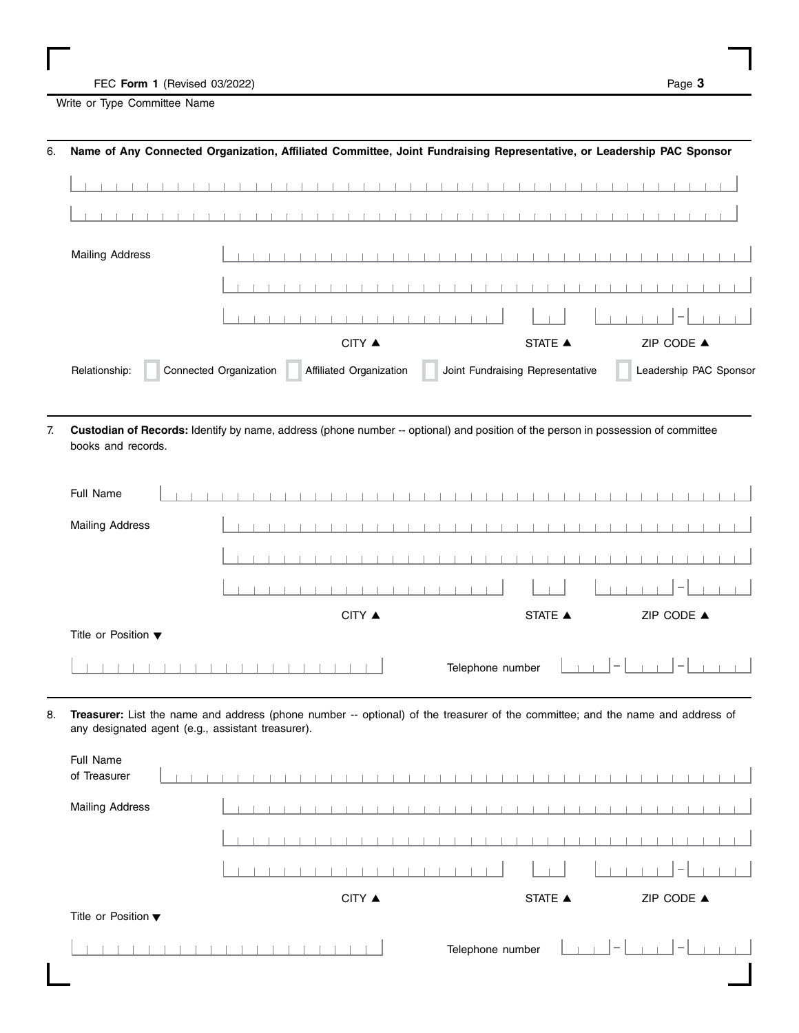FEC Form 1 (Revised 03/2022) **Page 3** 

 $\overline{\phantom{a}}$ 

 $\overline{1}$ 

 $\mathbb{R}$  $\overline{\phantom{a}}$ 

 $\overline{1}$ 

Write or Type Committee Name

| Name of Any Connected Organization, Affiliated Committee, Joint Fundraising Representative, or Leadership PAC Sponsor                                  |                        |                         |                    |                                  |                        |
|--------------------------------------------------------------------------------------------------------------------------------------------------------|------------------------|-------------------------|--------------------|----------------------------------|------------------------|
|                                                                                                                                                        |                        |                         |                    |                                  |                        |
|                                                                                                                                                        |                        |                         | and the control of |                                  |                        |
| <b>Mailing Address</b>                                                                                                                                 |                        |                         |                    |                                  |                        |
|                                                                                                                                                        |                        |                         |                    |                                  |                        |
|                                                                                                                                                        |                        |                         |                    |                                  |                        |
|                                                                                                                                                        |                        | CITY ▲                  |                    | <b>STATE ▲</b>                   | ZIP CODE ▲             |
| Relationship:                                                                                                                                          | Connected Organization | Affiliated Organization |                    | Joint Fundraising Representative | Leadership PAC Sponsor |
| Custodian of Records: Identify by name, address (phone number -- optional) and position of the person in possession of committee<br>books and records. |                        |                         |                    |                                  |                        |
| Full Name                                                                                                                                              |                        |                         |                    |                                  |                        |
| <b>Mailing Address</b>                                                                                                                                 |                        |                         |                    |                                  |                        |
|                                                                                                                                                        |                        |                         |                    |                                  |                        |

| Title or Position $\blacktriangledown$                                                                                            |  |
|-----------------------------------------------------------------------------------------------------------------------------------|--|
|                                                                                                                                   |  |
| 8. Treasurer: List the name and address (phone number -- optional) of the treasurer of the committee: and the name and address of |  |

STATE  $\blacktriangle$ 

CITY ▲ STATE ▲ ZIP CODE ▲

 $CITY$   $\triangle$ 

8. **Treasurer:** List the name and address (phone number -- optional) of the treasurer of the committee; and the name and address of any designated agent (e.g., assistant treasurer).

| Full Name<br>of Treasurer              |        |                             |                                 |
|----------------------------------------|--------|-----------------------------|---------------------------------|
| <b>Mailing Address</b>                 |        |                             |                                 |
|                                        |        |                             |                                 |
|                                        |        |                             | $\hspace{0.1mm}-\hspace{0.1mm}$ |
|                                        | CITY ▲ | STATE ▲                     | ZIP CODE $\blacktriangle$       |
| Title or Position $\blacktriangledown$ |        |                             |                                 |
|                                        |        | $1 - 1$<br>Telephone number | $ - $                           |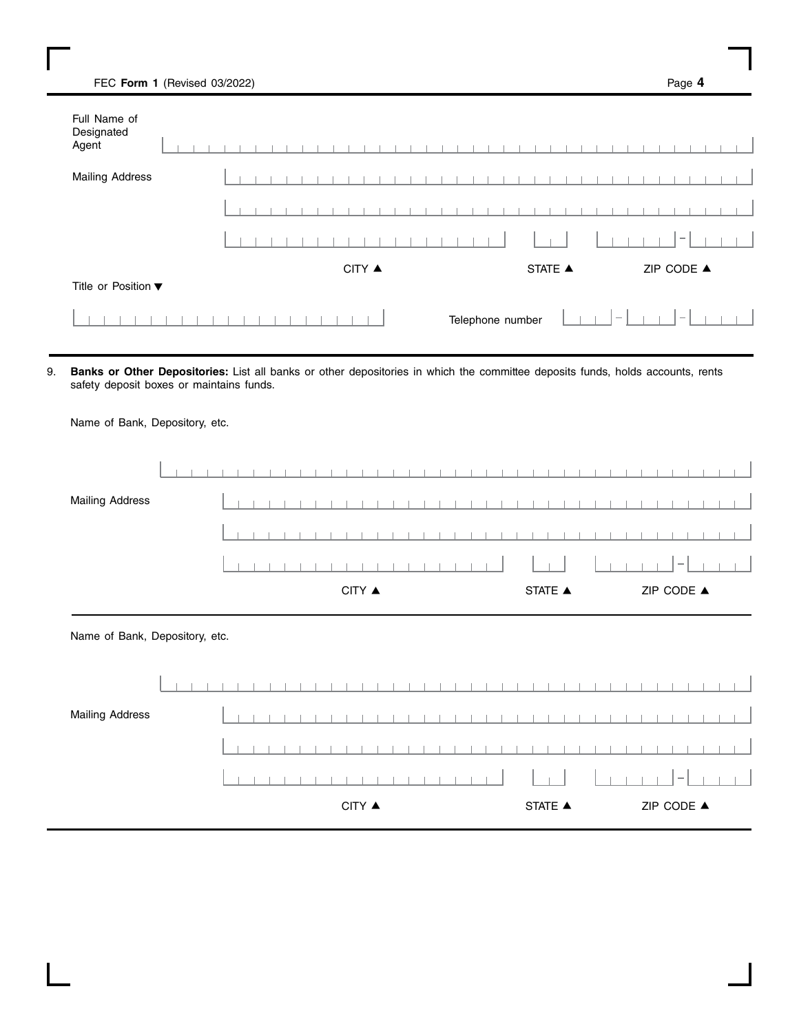| FEC Form 1 (Revised 03/2022)        |  |  |  |  |  |        |  |  |  |  |                  |                |  |  |  | Page 4     |  | ш |
|-------------------------------------|--|--|--|--|--|--------|--|--|--|--|------------------|----------------|--|--|--|------------|--|---|
| Full Name of<br>Designated<br>Agent |  |  |  |  |  |        |  |  |  |  |                  |                |  |  |  |            |  |   |
| <b>Mailing Address</b>              |  |  |  |  |  |        |  |  |  |  |                  |                |  |  |  |            |  |   |
|                                     |  |  |  |  |  |        |  |  |  |  |                  |                |  |  |  |            |  |   |
|                                     |  |  |  |  |  |        |  |  |  |  |                  |                |  |  |  |            |  |   |
|                                     |  |  |  |  |  | CITY ▲ |  |  |  |  |                  | <b>STATE ▲</b> |  |  |  | ZIP CODE ▲ |  |   |
| Title or Position ▼                 |  |  |  |  |  |        |  |  |  |  |                  |                |  |  |  |            |  |   |
|                                     |  |  |  |  |  |        |  |  |  |  | Telephone number |                |  |  |  |            |  |   |

9. **Banks or Other Depositories:** List all banks or other depositories in which the committee deposits funds, holds accounts, rents safety deposit boxes or maintains funds.

Name of Bank, Depository, etc.

 $\perp$  $\mathbb{R}$  $\Box$  $\Box$  $\Box$  $\overline{\phantom{0}}$ Mailing Address  $\mathbf{I}$  $\overline{1}$  $\mathbb{R}$  $\overline{1}$  $\perp$  $\overline{1}$  $\overline{1}$  $\begin{array}{ccc}\n\text{CITY} & \blacktriangle & \text{ZIP} & \text{CODE} \end{array}$ Name of Bank, Depository, etc.  $\mathbb{L}$  $\blacksquare$  $\blacksquare$  $\mathbb{I}$  $\overline{\phantom{a}}$  $\mathbb{R}$ Mailing Address  $\pm$   $\pm$  $\Box$  $\Box$  $\Box$  $\blacksquare$  $\overline{1}$  $\begin{array}{ccc}\n\text{CITY} & \blacktriangle & \text{CITY} & \blacktriangle & \text{CIP} & \text{CODE} & \blacktriangle\n\end{array}$